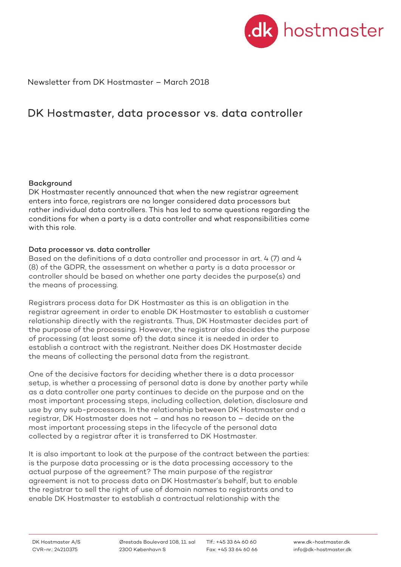

Newsletter from DK Hostmaster – March 2018

# DK Hostmaster, data processor vs. data controller

### Background

DK Hostmaster recently announced that when the new registrar agreement enters into force, registrars are no longer considered data processors but rather individual data controllers. This has led to some questions regarding the conditions for when a party is a data controller and what responsibilities come with this role.

### Data processor vs. data controller

Based on the definitions of a data controller and processor in art. 4 (7) and 4 (8) of the GDPR, the assessment on whether a party is a data processor or controller should be based on whether one party decides the purpose(s) and the means of processing.

Registrars process data for DK Hostmaster as this is an obligation in the registrar agreement in order to enable DK Hostmaster to establish a customer relationship directly with the registrants. Thus, DK Hostmaster decides part of the purpose of the processing. However, the registrar also decides the purpose of processing (at least some of) the data since it is needed in order to establish a contract with the registrant. Neither does DK Hostmaster decide the means of collecting the personal data from the registrant.

One of the decisive factors for deciding whether there is a data processor setup, is whether a processing of personal data is done by another party while as a data controller one party continues to decide on the purpose and on the most important processing steps, including collection, deletion, disclosure and use by any sub-processors. In the relationship between DK Hostmaster and a registrar, DK Hostmaster does not – and has no reason to – decide on the most important processing steps in the lifecycle of the personal data collected by a registrar after it is transferred to DK Hostmaster.

It is also important to look at the purpose of the contract between the parties: is the purpose data processing or is the data processing accessory to the actual purpose of the agreement? The main purpose of the registrar agreement is not to process data on DK Hostmaster's behalf, but to enable the registrar to sell the right of use of domain names to registrants and to enable DK Hostmaster to establish a contractual relationship with the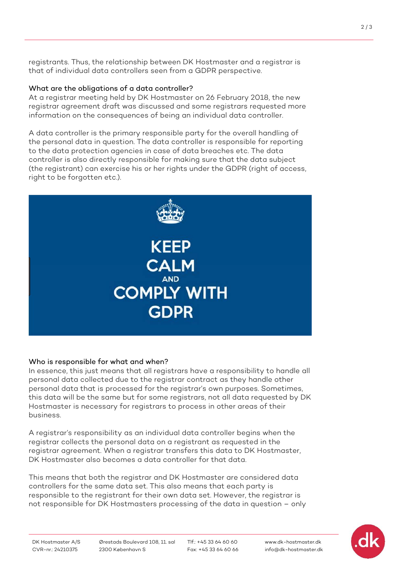registrants. Thus, the relationship between DK Hostmaster and a registrar is that of individual data controllers seen from a GDPR perspective.

## What are the obligations of a data controller?

At a registrar meeting held by DK Hostmaster on 26 February 2018, the new registrar agreement draft was discussed and some registrars requested more information on the consequences of being an individual data controller.

A data controller is the primary responsible party for the overall handling of the personal data in question. The data controller is responsible for reporting to the data protection agencies in case of data breaches etc. The data controller is also directly responsible for making sure that the data subject (the registrant) can exercise his or her rights under the GDPR (right of access, right to be forgotten etc.).



## Who is responsible for what and when?

In essence, this just means that all registrars have a responsibility to handle all personal data collected due to the registrar contract as they handle other personal data that is processed for the registrar's own purposes. Sometimes, this data will be the same but for some registrars, not all data requested by DK Hostmaster is necessary for registrars to process in other areas of their business.

A registrar's responsibility as an individual data controller begins when the registrar collects the personal data on a registrant as requested in the registrar agreement. When a registrar transfers this data to DK Hostmaster, DK Hostmaster also becomes a data controller for that data.

This means that both the registrar and DK Hostmaster are considered data controllers for the same data set. This also means that each party is responsible to the registrant for their own data set. However, the registrar is not responsible for DK Hostmasters processing of the data in question – only